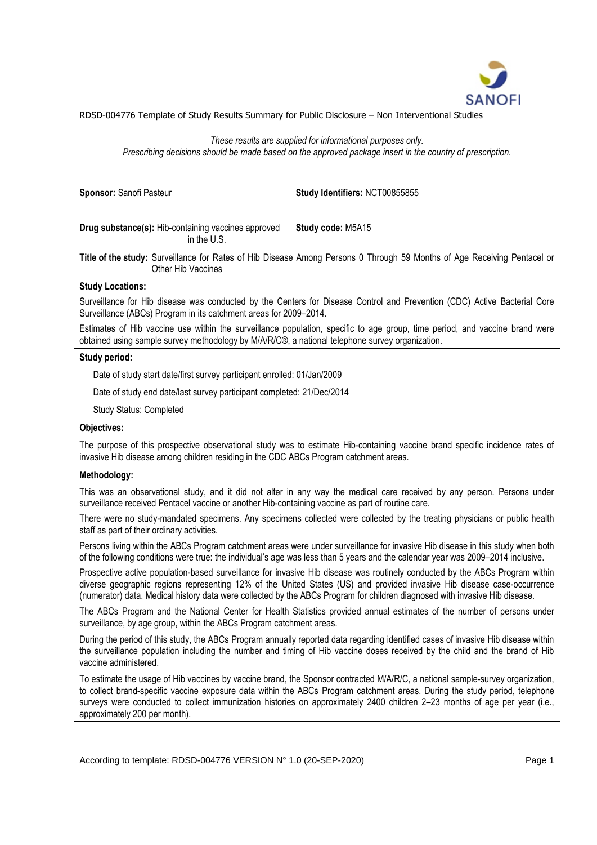

# *These results are supplied for informational purposes only.*

*Prescribing decisions should be made based on the approved package insert in the country of prescription.*

| Sponsor: Sanofi Pasteur                                                                                                                                                                                                                                                                                                                                                                                                      | Study Identifiers: NCT00855855                                                                                               |  |  |  |  |
|------------------------------------------------------------------------------------------------------------------------------------------------------------------------------------------------------------------------------------------------------------------------------------------------------------------------------------------------------------------------------------------------------------------------------|------------------------------------------------------------------------------------------------------------------------------|--|--|--|--|
|                                                                                                                                                                                                                                                                                                                                                                                                                              |                                                                                                                              |  |  |  |  |
| Drug substance(s): Hib-containing vaccines approved<br>in the U.S.                                                                                                                                                                                                                                                                                                                                                           | Study code: M5A15                                                                                                            |  |  |  |  |
| Title of the study: Surveillance for Rates of Hib Disease Among Persons 0 Through 59 Months of Age Receiving Pentacel or<br>Other Hib Vaccines                                                                                                                                                                                                                                                                               |                                                                                                                              |  |  |  |  |
| <b>Study Locations:</b>                                                                                                                                                                                                                                                                                                                                                                                                      |                                                                                                                              |  |  |  |  |
| Surveillance for Hib disease was conducted by the Centers for Disease Control and Prevention (CDC) Active Bacterial Core<br>Surveillance (ABCs) Program in its catchment areas for 2009-2014.                                                                                                                                                                                                                                |                                                                                                                              |  |  |  |  |
| Estimates of Hib vaccine use within the surveillance population, specific to age group, time period, and vaccine brand were<br>obtained using sample survey methodology by M/A/R/C®, a national telephone survey organization.                                                                                                                                                                                               |                                                                                                                              |  |  |  |  |
| Study period:                                                                                                                                                                                                                                                                                                                                                                                                                |                                                                                                                              |  |  |  |  |
| Date of study start date/first survey participant enrolled: 01/Jan/2009                                                                                                                                                                                                                                                                                                                                                      |                                                                                                                              |  |  |  |  |
| Date of study end date/last survey participant completed: 21/Dec/2014                                                                                                                                                                                                                                                                                                                                                        |                                                                                                                              |  |  |  |  |
| Study Status: Completed                                                                                                                                                                                                                                                                                                                                                                                                      |                                                                                                                              |  |  |  |  |
| Objectives:                                                                                                                                                                                                                                                                                                                                                                                                                  |                                                                                                                              |  |  |  |  |
| invasive Hib disease among children residing in the CDC ABCs Program catchment areas.                                                                                                                                                                                                                                                                                                                                        | The purpose of this prospective observational study was to estimate Hib-containing vaccine brand specific incidence rates of |  |  |  |  |
| Methodology:                                                                                                                                                                                                                                                                                                                                                                                                                 |                                                                                                                              |  |  |  |  |
| This was an observational study, and it did not alter in any way the medical care received by any person. Persons under<br>surveillance received Pentacel vaccine or another Hib-containing vaccine as part of routine care.                                                                                                                                                                                                 |                                                                                                                              |  |  |  |  |
| There were no study-mandated specimens. Any specimens collected were collected by the treating physicians or public health<br>staff as part of their ordinary activities.                                                                                                                                                                                                                                                    |                                                                                                                              |  |  |  |  |
| Persons living within the ABCs Program catchment areas were under surveillance for invasive Hib disease in this study when both<br>of the following conditions were true: the individual's age was less than 5 years and the calendar year was 2009-2014 inclusive.                                                                                                                                                          |                                                                                                                              |  |  |  |  |
| Prospective active population-based surveillance for invasive Hib disease was routinely conducted by the ABCs Program within<br>diverse geographic regions representing 12% of the United States (US) and provided invasive Hib disease case-occurrence<br>(numerator) data. Medical history data were collected by the ABCs Program for children diagnosed with invasive Hib disease.                                       |                                                                                                                              |  |  |  |  |
| The ABCs Program and the National Center for Health Statistics provided annual estimates of the number of persons under<br>surveillance, by age group, within the ABCs Program catchment areas.                                                                                                                                                                                                                              |                                                                                                                              |  |  |  |  |
| During the period of this study, the ABCs Program annually reported data regarding identified cases of invasive Hib disease within<br>the surveillance population including the number and timing of Hib vaccine doses received by the child and the brand of Hib<br>vaccine administered.                                                                                                                                   |                                                                                                                              |  |  |  |  |
| To estimate the usage of Hib vaccines by vaccine brand, the Sponsor contracted M/A/R/C, a national sample-survey organization,<br>to collect brand-specific vaccine exposure data within the ABCs Program catchment areas. During the study period, telephone<br>surveys were conducted to collect immunization histories on approximately 2400 children 2-23 months of age per year (i.e.,<br>approximately 200 per month). |                                                                                                                              |  |  |  |  |
|                                                                                                                                                                                                                                                                                                                                                                                                                              |                                                                                                                              |  |  |  |  |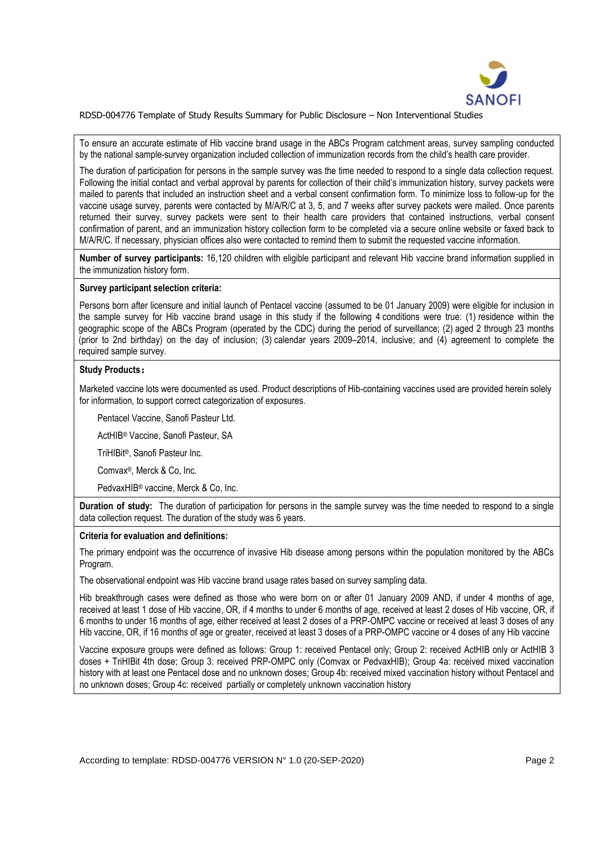

To ensure an accurate estimate of Hib vaccine brand usage in the ABCs Program catchment areas, survey sampling conducted by the national sample-survey organization included collection of immunization records from the child's health care provider.

The duration of participation for persons in the sample survey was the time needed to respond to a single data collection request. Following the initial contact and verbal approval by parents for collection of their child's immunization history, survey packets were mailed to parents that included an instruction sheet and a verbal consent confirmation form. To minimize loss to follow-up for the vaccine usage survey, parents were contacted by M/A/R/C at 3, 5, and 7 weeks after survey packets were mailed. Once parents returned their survey, survey packets were sent to their health care providers that contained instructions, verbal consent confirmation of parent, and an immunization history collection form to be completed via a secure online website or faxed back to M/A/R/C. If necessary, physician offices also were contacted to remind them to submit the requested vaccine information.

**Number of survey participants:** 16,120 children with eligible participant and relevant Hib vaccine brand information supplied in the immunization history form.

### **Survey participant selection criteria:**

Persons born after licensure and initial launch of Pentacel vaccine (assumed to be 01 January 2009) were eligible for inclusion in the sample survey for Hib vaccine brand usage in this study if the following 4 conditions were true: (1) residence within the geographic scope of the ABCs Program (operated by the CDC) during the period of surveillance; (2) aged 2 through 23 months (prior to 2nd birthday) on the day of inclusion; (3) calendar years 2009–2014, inclusive; and (4) agreement to complete the required sample survey.

### **Study Products:**

Marketed vaccine lots were documented as used. Product descriptions of Hib-containing vaccines used are provided herein solely for information, to support correct categorization of exposures.

Pentacel Vaccine, Sanofi Pasteur Ltd.

ActHIB® Vaccine, Sanofi Pasteur, SA

TriHIBit® , Sanofi Pasteur Inc.

Comvax® , Merck & Co, Inc.

PedvaxHIB® vaccine, Merck & Co, Inc.

**Duration of study:** The duration of participation for persons in the sample survey was the time needed to respond to a single data collection request. The duration of the study was 6 years.

#### **Criteria for evaluation and definitions:**

The primary endpoint was the occurrence of invasive Hib disease among persons within the population monitored by the ABCs Program.

The observational endpoint was Hib vaccine brand usage rates based on survey sampling data.

Hib breakthrough cases were defined as those who were born on or after 01 January 2009 AND, if under 4 months of age, received at least 1 dose of Hib vaccine, OR, if 4 months to under 6 months of age, received at least 2 doses of Hib vaccine, OR, if 6 months to under 16 months of age, either received at least 2 doses of a PRP-OMPC vaccine or received at least 3 doses of any Hib vaccine, OR, if 16 months of age or greater, received at least 3 doses of a PRP-OMPC vaccine or 4 doses of any Hib vaccine

Vaccine exposure groups were defined as follows: Group 1: received Pentacel only; Group 2: received ActHIB only or ActHIB 3 doses + TriHIBit 4th dose; Group 3: received PRP-OMPC only (Comvax or PedvaxHIB); Group 4a: received mixed vaccination history with at least one Pentacel dose and no unknown doses; Group 4b: received mixed vaccination history without Pentacel and no unknown doses; Group 4c: received partially or completely unknown vaccination history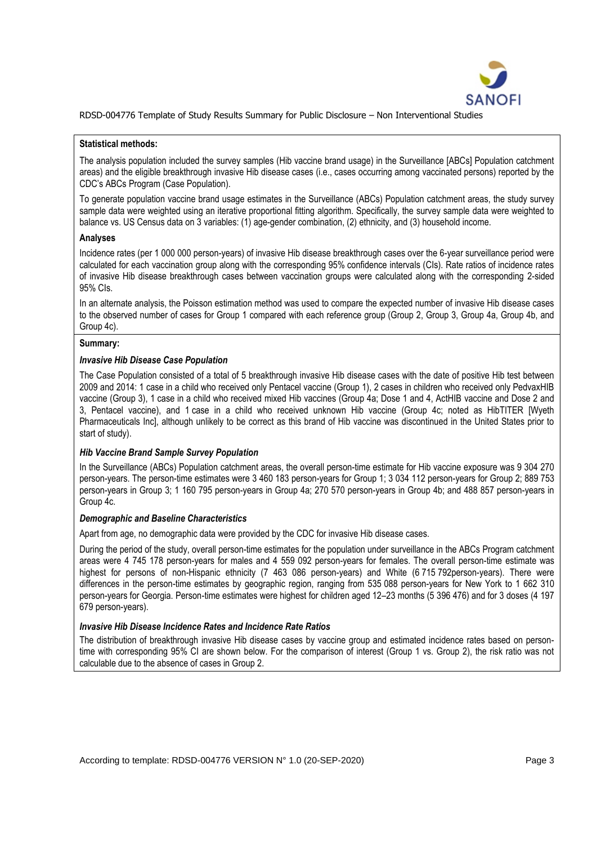

#### **Statistical methods:**

The analysis population included the survey samples (Hib vaccine brand usage) in the Surveillance [ABCs] Population catchment areas) and the eligible breakthrough invasive Hib disease cases (i.e., cases occurring among vaccinated persons) reported by the CDC's ABCs Program (Case Population).

To generate population vaccine brand usage estimates in the Surveillance (ABCs) Population catchment areas, the study survey sample data were weighted using an iterative proportional fitting algorithm. Specifically, the survey sample data were weighted to balance vs. US Census data on 3 variables: (1) age-gender combination, (2) ethnicity, and (3) household income.

#### **Analyses**

Incidence rates (per 1 000 000 person-years) of invasive Hib disease breakthrough cases over the 6-year surveillance period were calculated for each vaccination group along with the corresponding 95% confidence intervals (CIs). Rate ratios of incidence rates of invasive Hib disease breakthrough cases between vaccination groups were calculated along with the corresponding 2-sided 95% CIs.

In an alternate analysis, the Poisson estimation method was used to compare the expected number of invasive Hib disease cases to the observed number of cases for Group 1 compared with each reference group (Group 2, Group 3, Group 4a, Group 4b, and Group 4c).

#### **Summary:**

#### *Invasive Hib Disease Case Population*

The Case Population consisted of a total of 5 breakthrough invasive Hib disease cases with the date of positive Hib test between 2009 and 2014: 1 case in a child who received only Pentacel vaccine (Group 1), 2 cases in children who received only PedvaxHIB vaccine (Group 3), 1 case in a child who received mixed Hib vaccines (Group 4a; Dose 1 and 4, ActHIB vaccine and Dose 2 and 3, Pentacel vaccine), and 1 case in a child who received unknown Hib vaccine (Group 4c; noted as HibTITER [Wyeth Pharmaceuticals Inc], although unlikely to be correct as this brand of Hib vaccine was discontinued in the United States prior to start of study).

#### *Hib Vaccine Brand Sample Survey Population*

In the Surveillance (ABCs) Population catchment areas, the overall person-time estimate for Hib vaccine exposure was 9 304 270 person-years. The person-time estimates were 3 460 183 person-years for Group 1; 3 034 112 person-years for Group 2; 889 753 person-years in Group 3; 1 160 795 person-years in Group 4a; 270 570 person-years in Group 4b; and 488 857 person-years in Group 4c.

#### *Demographic and Baseline Characteristics*

Apart from age, no demographic data were provided by the CDC for invasive Hib disease cases.

During the period of the study, overall person-time estimates for the population under surveillance in the ABCs Program catchment areas were 4 745 178 person-years for males and 4 559 092 person-years for females. The overall person-time estimate was highest for persons of non-Hispanic ethnicity (7 463 086 person-years) and White (6 715 792person-years). There were differences in the person-time estimates by geographic region, ranging from 535 088 person-years for New York to 1 662 310 person-years for Georgia. Person-time estimates were highest for children aged 12–23 months (5 396 476) and for 3 doses (4 197 679 person-years).

### *Invasive Hib Disease Incidence Rates and Incidence Rate Ratios*

The distribution of breakthrough invasive Hib disease cases by vaccine group and estimated incidence rates based on persontime with corresponding 95% CI are shown below. For the comparison of interest (Group 1 vs. Group 2), the risk ratio was not calculable due to the absence of cases in Group 2.